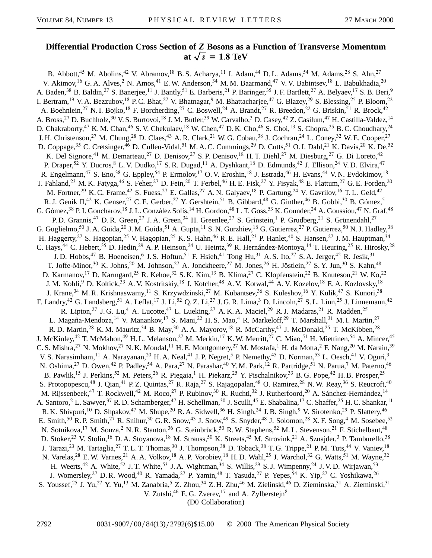## **Differential Production Cross Section of** *Z* **Bosons as a Function of Transverse Momentum** at  $\sqrt{s}$  = 1.8 TeV

B. Abbott,<sup>45</sup> M. Abolins,<sup>42</sup> V. Abramov,<sup>18</sup> B. S. Acharya,<sup>11</sup> I. Adam,<sup>44</sup> D. L. Adams,<sup>54</sup> M. Adams,<sup>28</sup> S. Ahn,<sup>27</sup> V. Akimov,<sup>16</sup> G. A. Alves,<sup>2</sup> N. Amos,<sup>41</sup> E. W. Anderson,<sup>34</sup> M. M. Baarmand,<sup>47</sup> V. V. Babintsev,<sup>18</sup> L. Babukhadia,<sup>20</sup> A. Baden,<sup>38</sup> B. Baldin,<sup>27</sup> S. Banerjee,<sup>11</sup> J. Bantly,<sup>51</sup> E. Barberis,<sup>21</sup> P. Baringer,<sup>35</sup> J. F. Bartlett,<sup>27</sup> A. Belyaev,<sup>17</sup> S. B. Beri,<sup>9</sup> I. Bertram,<sup>19</sup> V. A. Bezzubov,<sup>18</sup> P. C. Bhat,<sup>27</sup> V. Bhatnagar,<sup>9</sup> M. Bhattacharjee,<sup>47</sup> G. Blazey,<sup>29</sup> S. Blessing,<sup>25</sup> P. Bloom,<sup>22</sup> A. Boehnlein,<sup>27</sup> N. I. Bojko,<sup>18</sup> F. Borcherding,<sup>27</sup> C. Boswell,<sup>24</sup> A. Brandt,<sup>27</sup> R. Breedon,<sup>22</sup> G. Briskin,<sup>51</sup> R. Brock,<sup>42</sup> A. Bross,<sup>27</sup> D. Buchholz,<sup>30</sup> V. S. Burtovoi,<sup>18</sup> J. M. Butler,<sup>39</sup> W. Carvalho,<sup>3</sup> D. Casey,<sup>42</sup> Z. Casilum,<sup>47</sup> H. Castilla-Valdez,<sup>14</sup> D. Chakraborty,<sup>47</sup> K. M. Chan,<sup>46</sup> S. V. Chekulaev,<sup>18</sup> W. Chen,<sup>47</sup> D. K. Cho,<sup>46</sup> S. Choi,<sup>13</sup> S. Chopra,<sup>25</sup> B. C. Choudhary,<sup>24</sup> J. H. Christenson,<sup>27</sup> M. Chung,<sup>28</sup> D. Claes,<sup>43</sup> A. R. Clark,<sup>21</sup> W. G. Cobau,<sup>38</sup> J. Cochran,<sup>24</sup> L. Coney,<sup>32</sup> W. E. Cooper,<sup>27</sup> D. Coppage,<sup>35</sup> C. Cretsinger,<sup>46</sup> D. Cullen-Vidal,<sup>51</sup> M. A. C. Cummings,<sup>29</sup> D. Cutts,<sup>51</sup> O. I. Dahl,<sup>21</sup> K. Davis,<sup>20</sup> K. De,<sup>52</sup> K. Del Signore,<sup>41</sup> M. Demarteau,<sup>27</sup> D. Denisov,<sup>27</sup> S. P. Denisov,<sup>18</sup> H. T. Diehl,<sup>27</sup> M. Diesburg,<sup>27</sup> G. Di Loreto,<sup>42</sup> P. Draper,<sup>52</sup> Y. Ducros,<sup>8</sup> L. V. Dudko,<sup>17</sup> S. R. Dugad,<sup>11</sup> A. Dyshkant,<sup>18</sup> D. Edmunds,<sup>42</sup> J. Ellison,<sup>24</sup> V. D. Elvira,<sup>47</sup> R. Engelmann,<sup>47</sup> S. Eno,<sup>38</sup> G. Eppley,<sup>54</sup> P. Ermolov,<sup>17</sup> O. V. Eroshin,<sup>18</sup> J. Estrada,<sup>46</sup> H. Evans,<sup>44</sup> V. N. Evdokimov,<sup>18</sup> T. Fahland,<sup>23</sup> M. K. Fatyga,<sup>46</sup> S. Feher,<sup>27</sup> D. Fein,<sup>20</sup> T. Ferbel,<sup>46</sup> H. E. Fisk,<sup>27</sup> Y. Fisyak,<sup>48</sup> E. Flattum,<sup>27</sup> G. E. Forden,<sup>20</sup> M. Fortner,<sup>29</sup> K. C. Frame,<sup>42</sup> S. Fuess,<sup>27</sup> E. Gallas,<sup>27</sup> A. N. Galyaev,<sup>18</sup> P. Gartung,<sup>24</sup> V. Gavrilov,<sup>16</sup> T. L. Geld,<sup>42</sup> R. J. Genik II,<sup>42</sup> K. Genser,<sup>27</sup> C. E. Gerber,<sup>27</sup> Y. Gershtein,<sup>51</sup> B. Gibbard,<sup>48</sup> G. Ginther,<sup>46</sup> B. Gobbi,<sup>30</sup> B. Gómez,<sup>5</sup> G. Gómez,  $^{38}$  P. I. Goncharov,  $^{18}$  J. L. González Solís,  $^{14}$  H. Gordon,  $^{48}$  L. T. Goss,  $^{53}$  K. Gounder,  $^{24}$  A. Goussiou,  $^{47}$  N. Graf,  $^{48}$ P. D. Grannis,<sup>47</sup> D. R. Green,<sup>27</sup> J. A. Green,<sup>34</sup> H. Greenlee,<sup>27</sup> S. Grinstein,<sup>1</sup> P. Grudberg,<sup>21</sup> S. Grünendahl,<sup>27</sup> G. Guglielmo,<sup>50</sup> J. A. Guida,<sup>20</sup> J. M. Guida,<sup>51</sup> A. Gupta,<sup>11</sup> S. N. Gurzhiev,<sup>18</sup> G. Gutierrez,<sup>27</sup> P. Gutierrez,<sup>50</sup> N. J. Hadley,<sup>38</sup> H. Haggerty,<sup>27</sup> S. Hagopian,<sup>25</sup> V. Hagopian,<sup>25</sup> K. S. Hahn,<sup>46</sup> R. E. Hall,<sup>23</sup> P. Hanlet,<sup>40</sup> S. Hansen,<sup>27</sup> J. M. Hauptman,<sup>34</sup> C. Hays, <sup>44</sup> C. Hebert, <sup>35</sup> D. Hedin, <sup>29</sup> A. P. Heinson, <sup>24</sup> U. Heintz, <sup>39</sup> R. Hernández-Montoya, <sup>14</sup> T. Heuring, <sup>25</sup> R. Hirosky, <sup>28</sup> J. D. Hobbs,<sup>47</sup> B. Hoeneisen,<sup>6</sup> J. S. Hoftun,<sup>51</sup> F. Hsieh,<sup>41</sup> Tong Hu,<sup>31</sup> A. S. Ito,<sup>27</sup> S. A. Jerger,<sup>42</sup> R. Jesik,<sup>31</sup> T. Joffe-Minor,<sup>30</sup> K. Johns,<sup>20</sup> M. Johnson,<sup>27</sup> A. Jonckheere,<sup>27</sup> M. Jones,<sup>26</sup> H. Jöstlein,<sup>27</sup> S. Y. Jun,<sup>30</sup> S. Kahn,<sup>48</sup> D. Karmanov,<sup>17</sup> D. Karmgard,<sup>25</sup> R. Kehoe,<sup>32</sup> S. K. Kim,<sup>13</sup> B. Klima,<sup>27</sup> C. Klopfenstein,<sup>22</sup> B. Knuteson,<sup>21</sup> W. Ko,<sup>22</sup> J. M. Kohli,<sup>9</sup> D. Koltick,<sup>33</sup> A. V. Kostritskiy,<sup>18</sup> J. Kotcher,<sup>48</sup> A. V. Kotwal,<sup>44</sup> A. V. Kozelov,<sup>18</sup> E. A. Kozlovsky,<sup>18</sup> J. Krane,<sup>34</sup> M. R. Krishnaswamy,<sup>11</sup> S. Krzywdzinski,<sup>27</sup> M. Kubantsev,<sup>36</sup> S. Kuleshov,<sup>16</sup> Y. Kulik,<sup>47</sup> S. Kunori,<sup>38</sup> F. Landry,<sup>42</sup> G. Landsberg,<sup>51</sup> A. Leflat,<sup>17</sup> J. Li,<sup>52</sup> Q. Z. Li,<sup>27</sup> J. G. R. Lima,<sup>3</sup> D. Lincoln,<sup>27</sup> S. L. Linn,<sup>25</sup> J. Linnemann,<sup>42</sup> R. Lipton,<sup>27</sup> J. G. Lu,<sup>4</sup> A. Lucotte,<sup>47</sup> L. Lueking,<sup>27</sup> A. K. A. Maciel,<sup>29</sup> R. J. Madaras,<sup>21</sup> R. Madden,<sup>25</sup> L. Magaña-Mendoza,<sup>14</sup> V. Manankov,<sup>17</sup> S. Mani,<sup>22</sup> H. S. Mao,<sup>4</sup> R. Markeloff,<sup>29</sup> T. Marshall,<sup>31</sup> M. I. Martin,<sup>27</sup> R. D. Martin,<sup>28</sup> K. M. Mauritz,<sup>34</sup> B. May,<sup>30</sup> A. A. Mayorov,<sup>18</sup> R. McCarthy,<sup>47</sup> J. McDonald,<sup>25</sup> T. McKibben,<sup>28</sup> J. McKinley,<sup>42</sup> T. McMahon,<sup>49</sup> H. L. Melanson,<sup>27</sup> M. Merkin,<sup>17</sup> K. W. Merritt,<sup>27</sup> C. Miao,<sup>51</sup> H. Miettinen,<sup>54</sup> A. Mincer,<sup>45</sup> C. S. Mishra,<sup>27</sup> N. Mokhov,<sup>27</sup> N. K. Mondal,<sup>11</sup> H. E. Montgomery,<sup>27</sup> M. Mostafa,<sup>1</sup> H. da Motta,<sup>2</sup> F. Nang,<sup>20</sup> M. Narain,<sup>39</sup> V. S. Narasimham, <sup>11</sup> A. Narayanan, <sup>20</sup> H. A. Neal, <sup>41</sup> J. P. Negret, <sup>5</sup> P. Nemethy, <sup>45</sup> D. Norman, <sup>53</sup> L. Oesch, <sup>41</sup> V. Oguri, <sup>3</sup> N. Oshima,<sup>27</sup> D. Owen,<sup>42</sup> P. Padley,<sup>54</sup> A. Para,<sup>27</sup> N. Parashar,<sup>40</sup> Y. M. Park,<sup>12</sup> R. Partridge,<sup>51</sup> N. Parua,<sup>7</sup> M. Paterno,<sup>46</sup> B. Pawlik,<sup>15</sup> J. Perkins,<sup>52</sup> M. Peters,<sup>26</sup> R. Piegaia,<sup>1</sup> H. Piekarz,<sup>25</sup> Y. Pischalnikov,<sup>33</sup> B. G. Pope,<sup>42</sup> H. B. Prosper,<sup>25</sup> S. Protopopescu,<sup>48</sup> J. Qian,<sup>41</sup> P.Z. Quintas,<sup>27</sup> R. Raja,<sup>27</sup> S. Rajagopalan,<sup>48</sup> O. Ramirez,<sup>28</sup> N. W. Reay,<sup>36</sup> S. Reucroft,<sup>40</sup> M. Rijssenbeek,<sup>47</sup> T. Rockwell,<sup>42</sup> M. Roco,<sup>27</sup> P. Rubinov,<sup>30</sup> R. Ruchti,<sup>32</sup> J. Rutherfoord,<sup>20</sup> A. Sánchez-Hernández,<sup>14</sup> A. Santoro,<sup>2</sup> L. Sawyer,<sup>37</sup> R. D. Schamberger,<sup>47</sup> H. Schellman,<sup>30</sup> J. Sculli,<sup>45</sup> E. Shabalina,<sup>17</sup> C. Shaffer,<sup>25</sup> H. C. Shankar,<sup>11</sup> R. K. Shivpuri,<sup>10</sup> D. Shpakov,<sup>47</sup> M. Shupe,<sup>20</sup> R. A. Sidwell,<sup>36</sup> H. Singh,<sup>24</sup> J. B. Singh,<sup>9</sup> V. Sirotenko,<sup>29</sup> P. Slattery,<sup>46</sup> E. Smith,<sup>50</sup> R. P. Smith,<sup>27</sup> R. Snihur,<sup>30</sup> G. R. Snow,<sup>43</sup> J. Snow,<sup>49</sup> S. Snyder,<sup>48</sup> J. Solomon,<sup>28</sup> X. F. Song,<sup>4</sup> M. Sosebee,<sup>52</sup> N. Sotnikova,<sup>17</sup> M. Souza,<sup>2</sup> N. R. Stanton,<sup>36</sup> G. Steinbrück,<sup>50</sup> R. W. Stephens,<sup>52</sup> M. L. Stevenson,<sup>21</sup> F. Stichelbaut,<sup>48</sup> D. Stoker,<sup>23</sup> V. Stolin,<sup>16</sup> D. A. Stoyanova,<sup>18</sup> M. Strauss,<sup>50</sup> K. Streets,<sup>45</sup> M. Strovink,<sup>21</sup> A. Sznajder,<sup>3</sup> P. Tamburello,<sup>38</sup> J. Tarazi,<sup>23</sup> M. Tartaglia,<sup>27</sup> T.L. T. Thomas,<sup>30</sup> J. Thompson,<sup>38</sup> D. Toback,<sup>38</sup> T. G. Trippe,<sup>21</sup> P.M. Tuts,<sup>44</sup> V. Vaniev,<sup>18</sup> N. Varelas,<sup>28</sup> E. W. Varnes,<sup>21</sup> A. A. Volkov,<sup>18</sup> A. P. Vorobiev,<sup>18</sup> H. D. Wahl,<sup>25</sup> J. Warchol,<sup>32</sup> G. Watts,<sup>51</sup> M. Wayne,<sup>32</sup> H. Weerts,<sup>42</sup> A. White,<sup>52</sup> J. T. White,<sup>53</sup> J. A. Wightman,<sup>34</sup> S. Willis,<sup>29</sup> S. J. Wimpenny,<sup>24</sup> J. V. D. Wirjawan,<sup>53</sup> J. Womersley,<sup>27</sup> D. R. Wood,<sup>40</sup> R. Yamada,<sup>27</sup> P. Yamin,<sup>48</sup> T. Yasuda,<sup>27</sup> P. Yepes,<sup>54</sup> K. Yip,<sup>27</sup> C. Yoshikawa,<sup>26</sup> S. Youssef,<sup>25</sup> J. Yu,<sup>27</sup> Y. Yu,<sup>13</sup> M. Zanabria,<sup>5</sup> Z. Zhou,<sup>34</sup> Z. H. Zhu,<sup>46</sup> M. Zielinski,<sup>46</sup> D. Zieminska,<sup>31</sup> A. Zieminski,<sup>31</sup> V. Zutshi,  $46$  E. G. Zverev,  $17$  and A. Zylberstejn $8$ 

(D0 Collaboration)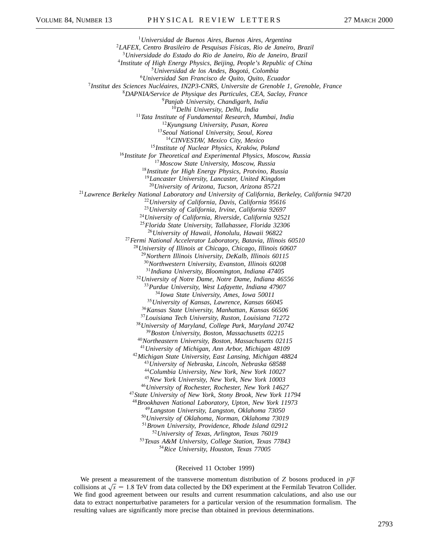*Universidad de Buenos Aires, Buenos Aires, Argentina LAFEX, Centro Brasileiro de Pesquisas Físicas, Rio de Janeiro, Brazil Universidade do Estado do Rio de Janeiro, Rio de Janeiro, Brazil Institute of High Energy Physics, Beijing, People's Republic of China Universidad de los Andes, Bogotá, Colombia Universidad San Francisco de Quito, Quito, Ecuador Institut des Sciences Nucléaires, IN2P3-CNRS, Universite de Grenoble 1, Grenoble, France DAPNIA/Service de Physique des Particules, CEA, Saclay, France Panjab University, Chandigarh, India Delhi University, Delhi, India Tata Institute of Fundamental Research, Mumbai, India Kyungsung University, Pusan, Korea Seoul National University, Seoul, Korea CINVESTAV, Mexico City, Mexico Institute of Nuclear Physics, Kraków, Poland Institute for Theoretical and Experimental Physics, Moscow, Russia Moscow State University, Moscow, Russia Institute for High Energy Physics, Protvino, Russia Lancaster University, Lancaster, United Kingdom University of Arizona, Tucson, Arizona 85721 Lawrence Berkeley National Laboratory and University of California, Berkeley, California 94720 University of California, Davis, California 95616 University of California, Irvine, California 92697 University of California, Riverside, California 92521 Florida State University, Tallahassee, Florida 32306 University of Hawaii, Honolulu, Hawaii 96822 Fermi National Accelerator Laboratory, Batavia, Illinois 60510 University of Illinois at Chicago, Chicago, Illinois 60607 Northern Illinois University, DeKalb, Illinois 60115 Northwestern University, Evanston, Illinois 60208 Indiana University, Bloomington, Indiana 47405 University of Notre Dame, Notre Dame, Indiana 46556 Purdue University, West Lafayette, Indiana 47907 Iowa State University, Ames, Iowa 50011 University of Kansas, Lawrence, Kansas 66045 Kansas State University, Manhattan, Kansas 66506 Louisiana Tech University, Ruston, Louisiana 71272 University of Maryland, College Park, Maryland 20742 Boston University, Boston, Massachusetts 02215 Northeastern University, Boston, Massachusetts 02115 University of Michigan, Ann Arbor, Michigan 48109 Michigan State University, East Lansing, Michigan 48824 University of Nebraska, Lincoln, Nebraska 68588 Columbia University, New York, New York 10027 New York University, New York, New York 10003 University of Rochester, Rochester, New York 14627 State University of New York, Stony Brook, New York 11794 Brookhaven National Laboratory, Upton, New York 11973 Langston University, Langston, Oklahoma 73050 University of Oklahoma, Norman, Oklahoma 73019 Brown University, Providence, Rhode Island 02912 University of Texas, Arlington, Texas 76019 Texas A&M University, College Station, Texas 77843 Rice University, Houston, Texas 77005*

(Received 11 October 1999)

We present a measurement of the transverse momentum distribution of *Z* bosons produced in  $p\bar{p}$ collisions at  $\sqrt{s}$  = 1.8 TeV from data collected by the DØ experiment at the Fermilab Tevatron Collider. We find good agreement between our results and current resummation calculations, and also use our data to extract nonperturbative parameters for a particular version of the resummation formalism. The resulting values are significantly more precise than obtained in previous determinations.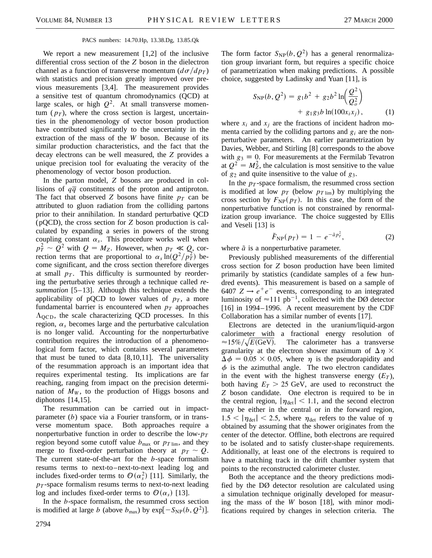## PACS numbers: 14.70.Hp, 13.38.Dg, 13.85.Qk

We report a new measurement [1,2] of the inclusive differential cross section of the *Z* boson in the dielectron channel as a function of transverse momentum  $(d\sigma/dp_T)$ with statistics and precision greatly improved over previous measurements [3,4]. The measurement provides a sensitive test of quantum chromodynamics (QCD) at large scales, or high  $Q^2$ . At small transverse momentum  $(p_T)$ , where the cross section is largest, uncertainties in the phenomenology of vector boson production have contributed significantly to the uncertainty in the extraction of the mass of the *W* boson. Because of its similar production characteristics, and the fact that the decay electrons can be well measured, the *Z* provides a unique precision tool for evaluating the veracity of the phenomenology of vector boson production.

In the parton model, *Z* bosons are produced in collisions of  $q\overline{q}$  constituents of the proton and antiproton. The fact that observed *Z* bosons have finite  $p<sub>T</sub>$  can be attributed to gluon radiation from the colliding partons prior to their annihilation. In standard perturbative QCD (pQCD), the cross section for *Z* boson production is calculated by expanding a series in powers of the strong coupling constant  $\alpha_s$ . This procedure works well when  $p_T^2 \sim Q^2$  with  $Q = M_Z$ . However, when  $p_T \ll Q$ , correction terms that are proportional to  $\alpha_s \ln(Q^2/p_T^2)$  become significant, and the cross section therefore diverges at small  $p<sub>T</sub>$ . This difficulty is surmounted by reordering the perturbative series through a technique called *resummation* [5–13]. Although this technique extends the applicability of pQCD to lower values of  $p<sub>T</sub>$ , a more fundamental barrier is encountered when  $p<sub>T</sub>$  approaches  $\Lambda_{\text{OCD}}$ , the scale characterizing QCD processes. In this region,  $\alpha_s$  becomes large and the perturbative calculation is no longer valid. Accounting for the nonperturbative contribution requires the introduction of a phenomenological form factor, which contains several parameters that must be tuned to data [8,10,11]. The universality of the resummation approach is an important idea that requires experimental testing. Its implications are far reaching, ranging from impact on the precision determination of  $M_W$ , to the production of Higgs bosons and diphotons [14,15].

The resummation can be carried out in impactparameter (*b*) space via a Fourier transform, or in transverse momentum space. Both approaches require a nonperturbative function in order to describe the low-*pT* region beyond some cutoff value  $b_{\text{max}}$  or  $p_{T \text{lim}}$ , and they merge to fixed-order perturbation theory at  $p_T \sim Q$ . The current state-of-the-art for the *b*-space formalism resums terms to next-to–next-to-next leading log and includes fixed-order terms to  $\mathcal{O}(\alpha_s^2)$  [11]. Similarly, the  $p_T$ -space formalism resums terms to next-to-next leading log and includes fixed-order terms to  $\mathcal{O}(\alpha_s)$  [13].

In the *b*-space formalism, the resummed cross section is modified at large *b* (above  $b_{\text{max}}$ ) by  $\exp[-S_{\text{NP}}(b, Q^2)]$ .

The form factor  $S_{NP}(b, Q^2)$  has a general renormalization group invariant form, but requires a specific choice of parametrization when making predictions. A possible choice, suggested by Ladinsky and Yuan [11], is

$$
S_{\rm NP}(b, Q^2) = g_1 b^2 + g_2 b^2 \ln\left(\frac{Q^2}{Q_o^2}\right) + g_1 g_3 b \ln(100 x_i x_j), \qquad (1)
$$

where  $x_i$  and  $x_j$  are the fractions of incident hadron momenta carried by the colliding partons and *gi* are the nonperturbative parameters. An earlier parametrization by Davies, Webber, and Stirling [8] corresponds to the above with  $g_3 \equiv 0$ . For measurements at the Fermilab Tevatron at  $Q^2 = M_Z^2$ , the calculation is most sensitive to the value of *g*<sup>2</sup> and quite insensitive to the value of *g*3.

In the  $p_T$ -space formalism, the resummed cross section is modified at low  $p_T$  (below  $p_{T \text{lim}}$ ) by multiplying the cross section by  $F_{NP}(p_T)$ . In this case, the form of the nonperturbative function is not constrained by renormalization group invariance. The choice suggested by Ellis and Veseli [13] is

$$
\tilde{F}_{\rm NP}(p_T) = 1 - e^{-\tilde{a}p_T^2},\tag{2}
$$

where  $\tilde{a}$  is a nonperturbative parameter.

Previously published measurements of the differential cross section for *Z* boson production have been limited primarily by statistics (candidate samples of a few hundred events). This measurement is based on a sample of 6407  $Z \rightarrow e^+e^-$  events, corresponding to an integrated luminosity of  $\approx$ 111 pb<sup>-1</sup>, collected with the DØ detector [16] in 1994–1996. A recent measurement by the CDF Collaboration has a similar number of events [17].

Electrons are detected in the uranium/liquid-argon calorimeter with a fractional energy resolution of  $\approx 15\%/\sqrt{E(GeV)}$ . The calorimeter has a transverse granularity at the electron shower maximum of  $\Delta \eta \times$  $\Delta \phi = 0.05 \times 0.05$ , where  $\eta$  is the pseudorapidity and  $\phi$  is the azimuthal angle. The two electron candidates in the event with the highest transverse energy  $(E_T)$ , both having  $E_T > 25$  GeV, are used to reconstruct the *Z* boson candidate. One electron is required to be in the central region,  $|\eta_{\text{det}}|$  < 1.1, and the second electron may be either in the central or in the forward region,  $1.5 < |\eta_{\text{det}}| < 2.5$ , where  $\eta_{\text{det}}$  refers to the value of  $\eta$ obtained by assuming that the shower originates from the center of the detector. Offline, both electrons are required to be isolated and to satisfy cluster-shape requirements. Additionally, at least one of the electrons is required to have a matching track in the drift chamber system that points to the reconstructed calorimeter cluster.

Both the acceptance and the theory predictions modified by the DØ detector resolution are calculated using a simulation technique originally developed for measuring the mass of the *W* boson [18], with minor modifications required by changes in selection criteria. The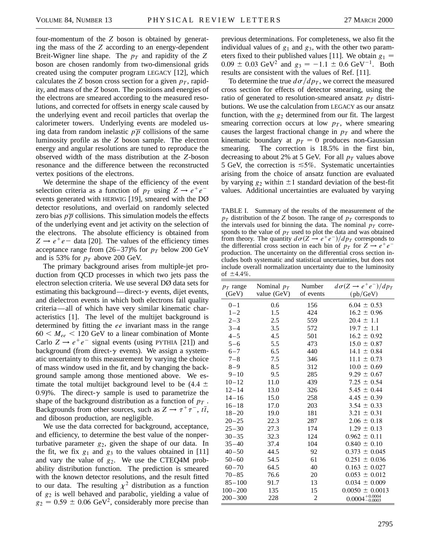four-momentum of the *Z* boson is obtained by generating the mass of the *Z* according to an energy-dependent Breit-Wigner line shape. The  $p<sub>T</sub>$  and rapidity of the Z boson are chosen randomly from two-dimensional grids created using the computer program LEGACY [12], which calculates the *Z* boson cross section for a given  $p<sub>T</sub>$ , rapidity, and mass of the *Z* boson. The positions and energies of the electrons are smeared according to the measured resolutions, and corrected for offsets in energy scale caused by the underlying event and recoil particles that overlap the calorimeter towers. Underlying events are modeled using data from random inelastic  $p\overline{p}$  collisions of the same luminosity profile as the *Z* boson sample. The electron energy and angular resolutions are tuned to reproduce the observed width of the mass distribution at the *Z*-boson resonance and the difference between the reconstructed vertex positions of the electrons.

We determine the shape of the efficiency of the event selection criteria as a function of  $p<sub>T</sub>$  using  $Z \rightarrow e^+e^$ events generated with HERWIG [19], smeared with the DØ detector resolutions, and overlaid on randomly selected zero bias  $p\overline{p}$  collisions. This simulation models the effects of the underlying event and jet activity on the selection of the electrons. The absolute efficiency is obtained from  $Z \rightarrow e^+e^-$  data [20]. The values of the efficiency times acceptance range from  $(26-37)$ % for  $p<sub>T</sub>$  below 200 GeV and is 53% for  $p_T$  above 200 GeV.

The primary background arises from multiple-jet production from QCD processes in which two jets pass the electron selection criteria. We use several DØ data sets for estimating this background—direct- $\gamma$  events, dijet events, and dielectron events in which both electrons fail quality criteria—all of which have very similar kinematic characteristics [1]. The level of the multijet background is determined by fitting the *ee* invariant mass in the range  $60 < M_{ee} < 120$  GeV to a linear combination of Monte Carlo  $Z \rightarrow e^+e^-$  signal events (using PYTHIA [21]) and background (from direct- $\gamma$  events). We assign a systematic uncertainty to this measurement by varying the choice of mass window used in the fit, and by changing the background sample among those mentioned above. We estimate the total multijet background level to be  $(4.4 \pm$ 0.9)%. The direct- $\gamma$  sample is used to parametrize the shape of the background distribution as a function of  $p<sub>T</sub>$ . Backgrounds from other sources, such as  $Z \rightarrow \tau^+\tau^-$ ,  $t\overline{t}$ , and diboson production, are negligible.

We use the data corrected for background, acceptance, and efficiency, to determine the best value of the nonperturbative parameter *g*2, given the shape of our data. In the fit, we fix  $g_1$  and  $g_3$  to the values obtained in [11] and vary the value of  $g_2$ . We use the CTEQ4M probability distribution function. The prediction is smeared with the known detector resolutions, and the result fitted to our data. The resulting  $\chi^2$  distribution as a function of *g*<sup>2</sup> is well behaved and parabolic, yielding a value of  $g_2 = 0.59 \pm 0.06$  GeV<sup>2</sup>, considerably more precise than previous determinations. For completeness, we also fit the individual values of  $g_1$  and  $g_3$ , with the other two parameters fixed to their published values [11]. We obtain  $g_1 =$  $0.09 \pm 0.03$  GeV<sup>2</sup> and  $g_3 = -1.1 \pm 0.6$  GeV<sup>-1</sup>. Both results are consistent with the values of Ref. [11].

To determine the true  $d\sigma/dp_T$ , we correct the measured cross section for effects of detector smearing, using the ratio of generated to resolution-smeared ansatz  $p<sub>T</sub>$  distributions. We use the calculation from LEGACY as our ansatz function, with the  $g_2$  determined from our fit. The largest smearing correction occurs at low  $p<sub>T</sub>$ , where smearing causes the largest fractional change in  $p<sub>T</sub>$  and where the kinematic boundary at  $p_T = 0$  produces non-Gaussian smearing. The correction is 18.5% in the first bin, decreasing to about 2% at 5 GeV. For all  $p<sub>T</sub>$  values above 5 GeV, the correction is  $\leq 5\%$ . Systematic uncertainties arising from the choice of ansatz function are evaluated by varying  $g_2$  within  $\pm 1$  standard deviation of the best-fit values. Additional uncertainties are evaluated by varying

TABLE I. Summary of the results of the measurement of the  $p_T$  distribution of the *Z* boson. The range of  $p_T$  corresponds to the intervals used for binning the data. The nominal  $p<sub>T</sub>$  corresponds to the value of  $p<sub>T</sub>$  used to plot the data and was obtained from theory. The quantity  $d\sigma(Z \rightarrow e^+e^-)/dp_T$  corresponds to the differential cross section in each bin of  $p<sub>T</sub>$  for  $Z \rightarrow e^+e^$ production. The uncertainty on the differential cross section includes both systematic and statistical uncertainties, but does not include overall normalization uncertainty due to the luminosity of  $\pm 4.4\%$ .

| $p_T$ range | Nominal $p_T$ | Number    | $d\sigma(Z \rightarrow e^+e^-)/dp_T$ |
|-------------|---------------|-----------|--------------------------------------|
| (GeV)       | value (GeV)   | of events | (pb/GeV)                             |
| $0 - 1$     | 0.6           | 156       | $6.04 \pm 0.53$                      |
| $1 - 2$     | 1.5           | 424       | $16.2 \pm 0.96$                      |
| $2 - 3$     | 2.5           | 559       | $20.4 \pm 1.1$                       |
| $3 - 4$     | 3.5           | 572       | $19.7 \pm 1.1$                       |
| $4 - 5$     | 4.5           | 501       | $16.2 \pm 0.92$                      |
| $5 - 6$     | 5.5           | 473       | $15.0 \pm 0.87$                      |
| $6 - 7$     | 6.5           | 440       | $14.1 \pm 0.84$                      |
| $7 - 8$     | 7.5           | 346       | $11.1 \pm 0.73$                      |
| $8 - 9$     | 8.5           | 312       | $10.0 \pm 0.69$                      |
| $9 - 10$    | 9.5           | 285       | $9.29 \pm 0.67$                      |
| $10 - 12$   | 11.0          | 439       | $7.25 \pm 0.54$                      |
| $12 - 14$   | 13.0          | 326       | $5.45 \pm 0.44$                      |
| $14 - 16$   | 15.0          | 258       | $4.45 \pm 0.39$                      |
| $16 - 18$   | 17.0          | 203       | $3.54 \pm 0.33$                      |
| $18 - 20$   | 19.0          | 181       | $3.21 \pm 0.31$                      |
| $20 - 25$   | 22.3          | 287       | $2.06 \pm 0.18$                      |
| $25 - 30$   | 27.3          | 174       | $1.29 \pm 0.13$                      |
| $30 - 35$   | 32.3          | 124       | $0.962 \pm 0.11$                     |
| $35 - 40$   | 37.4          | 104       | $0.840 \pm 0.10$                     |
| $40 - 50$   | 44.5          | 92        | $0.373 \pm 0.045$                    |
| $50 - 60$   | 54.5          | 61        | $0.251 \pm 0.036$                    |
| $60 - 70$   | 64.5          | 40        | $0.163 \pm 0.027$                    |
| $70 - 85$   | 76.6          | 20        | $0.053 \pm 0.012$                    |
| $85 - 100$  | 91.7          | 13        | $0.034 \pm 0.009$                    |
| $100 - 200$ | 135           | 15        | $0.0050 \pm 0.0013$                  |
| $200 - 300$ | 228           | 2         | $0.0004^{+0.0004}_{-0.0003}$         |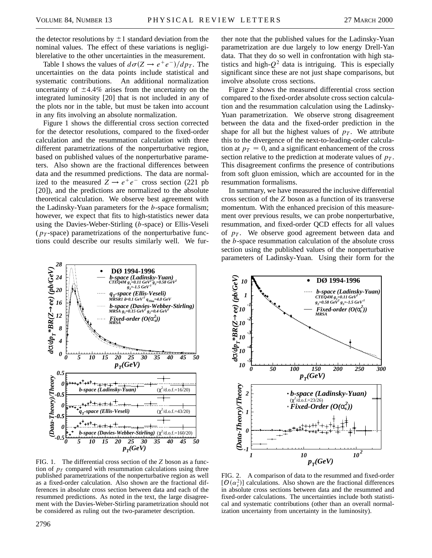the detector resolutions by  $\pm 1$  standard deviation from the nominal values. The effect of these variations is negligiblerelative to the other uncertainties in the measurement.

Table I shows the values of  $d\sigma(Z \rightarrow e^+e^-)/dp_T$ . The uncertainties on the data points include statistical and systematic contributions. An additional normalization uncertainty of  $\pm 4.4\%$  arises from the uncertainty on the integrated luminosity [20] that is not included in any of the plots nor in the table, but must be taken into account in any fits involving an absolute normalization.

Figure 1 shows the differential cross section corrected for the detector resolutions, compared to the fixed-order calculation and the resummation calculation with three different parametrizations of the nonperturbative region, based on published values of the nonperturbative parameters. Also shown are the fractional differences between data and the resummed predictions. The data are normalized to the measured  $Z \rightarrow e^+e^-$  cross section (221 pb) [20]), and the predictions are normalized to the absolute theoretical calculation. We observe best agreement with the Ladinsky-Yuan parameters for the *b*-space formalism; however, we expect that fits to high-statistics newer data using the Davies-Weber-Stirling (*b*-space) or Ellis-Veseli  $(p_T$ -space) parametrizations of the nonperturbative functions could describe our results similarly well. We fur-



FIG. 1. The differential cross section of the *Z* boson as a function of  $p_T$  compared with resummation calculations using three published parametrizations of the nonperturbative region as well as a fixed-order calculation. Also shown are the fractional differences in absolute cross section between data and each of the resummed predictions. As noted in the text, the large disagreement with the Davies-Weber-Stirling parametrization should not be considered as ruling out the two-parameter description.

ther note that the published values for the Ladinsky-Yuan parametrization are due largely to low energy Drell-Yan data. That they do so well in confrontation with high statistics and high- $Q^2$  data is intriguing. This is especially significant since these are not just shape comparisons, but involve absolute cross sections.

Figure 2 shows the measured differential cross section compared to the fixed-order absolute cross section calculation and the resummation calculation using the Ladinsky-Yuan parametrization. We observe strong disagreement between the data and the fixed-order prediction in the shape for all but the highest values of  $p<sub>T</sub>$ . We attribute this to the divergence of the next-to-leading-order calculation at  $p_T = 0$ , and a significant enhancement of the cross section relative to the prediction at moderate values of  $p<sub>T</sub>$ . This disagreement confirms the presence of contributions from soft gluon emission, which are accounted for in the resummation formalisms.

In summary, we have measured the inclusive differential cross section of the *Z* boson as a function of its transverse momentum. With the enhanced precision of this measurement over previous results, we can probe nonperturbative, resummation, and fixed-order QCD effects for all values of  $p_T$ . We observe good agreement between data and the *b*-space resummation calculation of the absolute cross section using the published values of the nonperturbative parameters of Ladinsky-Yuan. Using their form for the



FIG. 2. A comparison of data to the resummed and fixed-order  $[O(\alpha_s^2)]$  calculations. Also shown are the fractional differences in absolute cross sections between data and the resummed and fixed-order calculations. The uncertainties include both statistical and systematic contributions (other than an overall normalization uncertainty from uncertainty in the luminosity).